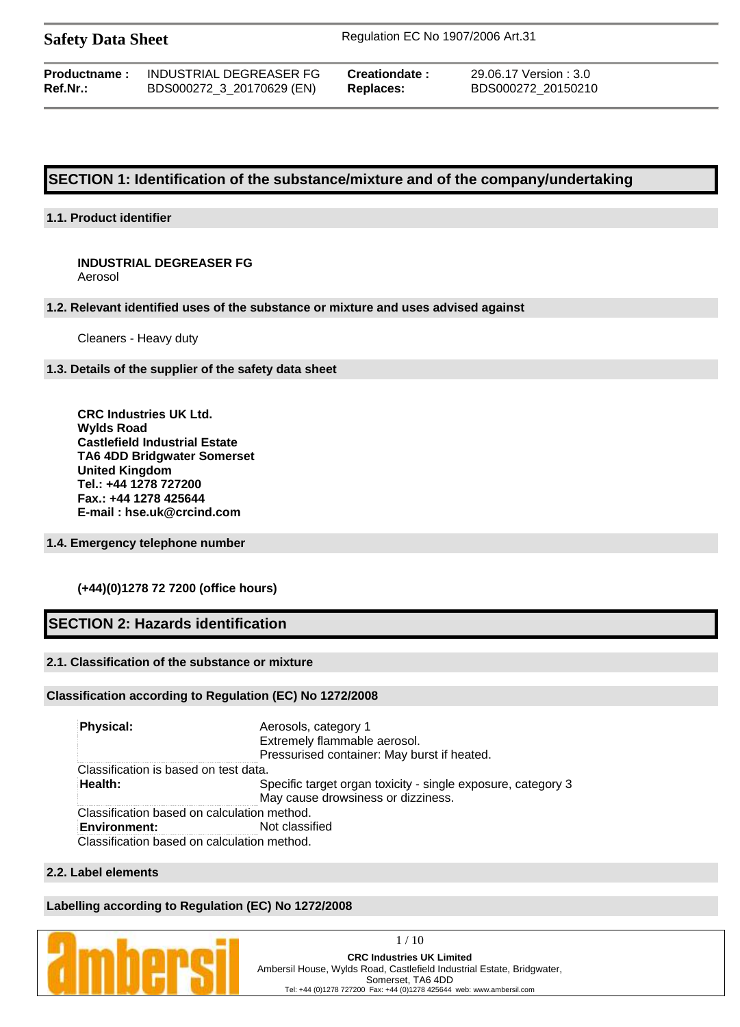**Safety Data Sheet** Regulation EC No 1907/2006 Art.31

| <b>Productname:</b> | INDUSTRIAL DEGREASER FG   |
|---------------------|---------------------------|
| Ref.Nr.:            | BDS000272_3_20170629 (EN) |

**Preationdate :** 29.06.17 Version : 3.0 **Ref.Nr.:** BDS000272\_3\_20170629 (EN) **Replaces:** BDS000272\_20150210

# **SECTION 1: Identification of the substance/mixture and of the company/undertaking**

#### **1.1. Product identifier**

# **INDUSTRIAL DEGREASER FG**

Aerosol

#### **1.2. Relevant identified uses of the substance or mixture and uses advised against**

Cleaners - Heavy duty

#### **1.3. Details of the supplier of the safety data sheet**

**CRC Industries UK Ltd. Wylds Road Castlefield Industrial Estate TA6 4DD Bridgwater Somerset United Kingdom Tel.: +44 1278 727200 Fax.: +44 1278 425644 E-mail : hse.uk@crcind.com**

#### **1.4. Emergency telephone number**

#### **(+44)(0)1278 72 7200 (office hours)**

# **SECTION 2: Hazards identification**

#### **2.1. Classification of the substance or mixture**

#### **Classification according to Regulation (EC) No 1272/2008**

| <b>Physical:</b>                            | Aerosols, category 1<br>Extremely flammable aerosol.<br>Pressurised container: May burst if heated. |
|---------------------------------------------|-----------------------------------------------------------------------------------------------------|
| Classification is based on test data.       |                                                                                                     |
| Health:                                     | Specific target organ toxicity - single exposure, category 3<br>May cause drowsiness or dizziness.  |
| Classification based on calculation method. |                                                                                                     |
| <b>Environment:</b>                         | Not classified                                                                                      |
| Classification based on calculation method. |                                                                                                     |

#### **2.2. Label elements**

#### **Labelling according to Regulation (EC) No 1272/2008**

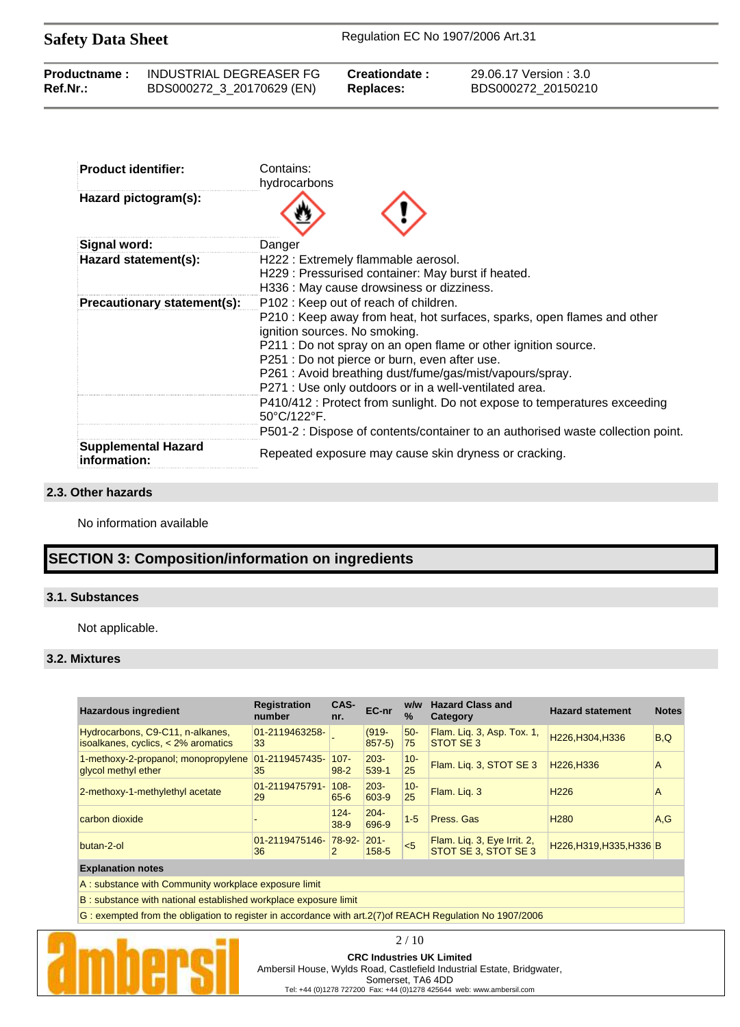Safety Data Sheet Regulation EC No 1907/2006 Art.31

| <b>Productname:</b> | INDUSTRIAL DEGREASER FG   | Creationdate: | 29.06.17 Version : 3.0 |
|---------------------|---------------------------|---------------|------------------------|
| <b>Ref.Nr.:</b>     | BDS000272_3_20170629 (EN) | Replaces:     | BDS000272 20150210     |
|                     |                           |               |                        |

| <b>Product identifier:</b>                 | Contains:<br>hydrocarbons                                                                                |
|--------------------------------------------|----------------------------------------------------------------------------------------------------------|
| Hazard pictogram(s):                       |                                                                                                          |
| Signal word:                               | Danger                                                                                                   |
| Hazard statement(s):                       | H222 : Extremely flammable aerosol.                                                                      |
|                                            | H229: Pressurised container: May burst if heated.                                                        |
|                                            | H336 : May cause drowsiness or dizziness.                                                                |
| Precautionary statement(s):                | P102 : Keep out of reach of children.                                                                    |
|                                            | P210 : Keep away from heat, hot surfaces, sparks, open flames and other<br>ignition sources. No smoking. |
|                                            | P211 : Do not spray on an open flame or other ignition source.                                           |
|                                            | P251 : Do not pierce or burn, even after use.                                                            |
|                                            | P261: Avoid breathing dust/fume/gas/mist/vapours/spray.                                                  |
|                                            | P271 : Use only outdoors or in a well-ventilated area.                                                   |
|                                            | P410/412 : Protect from sunlight. Do not expose to temperatures exceeding<br>50°C/122°F.                 |
|                                            | P501-2 : Dispose of contents/container to an authorised waste collection point.                          |
| <b>Supplemental Hazard</b><br>information: | Repeated exposure may cause skin dryness or cracking.                                                    |

#### **2.3. Other hazards**

No information available

# **SECTION 3: Composition/information on ingredients**

### **3.1. Substances**

Not applicable.

#### **3.2. Mixtures**

| <b>Hazardous ingredient</b>                                               | <b>Registration</b><br>number | CAS-<br>nr.         | EC-nr                | w/w<br>$\frac{0}{0}$ | <b>Hazard Class and</b><br>Category                 | <b>Hazard statement</b>  | <b>Notes</b> |
|---------------------------------------------------------------------------|-------------------------------|---------------------|----------------------|----------------------|-----------------------------------------------------|--------------------------|--------------|
| Hydrocarbons, C9-C11, n-alkanes,<br>isoalkanes, cyclics, $<$ 2% aromatics | 01-2119463258-<br>33          |                     | $(919 -$<br>$857-5$  | $50-$<br>75          | Flam. Liq. 3, Asp. Tox. 1,<br>STOT SE 3             | H226, H304, H336         | B,Q          |
| 1-methoxy-2-propanol; monopropylene<br>glycol methyl ether                | $ 01-2119457435-$<br>35       | $107 -$<br>$98 - 2$ | $203 -$<br>539-1     | $10 -$<br>25         | Flam. Lig. 3, STOT SE 3                             | H226.H336                | A            |
| 2-methoxy-1-methylethyl acetate                                           | 01-2119475791-<br>29          | $108 -$<br>65-6     | $203 -$<br>603-9     | $10 -$<br>25         | Flam. Lig. 3                                        | H <sub>226</sub>         | A            |
| carbon dioxide                                                            |                               | $124 -$<br>$38-9$   | $204 -$<br>696-9     | $1 - 5$              | Press, Gas                                          | H <sub>280</sub>         | A.G          |
| butan-2-ol                                                                | 01-2119475146-<br>36          | 78-92-<br>2         | $201 -$<br>$158 - 5$ | 5                    | Flam. Lig. 3, Eye Irrit. 2,<br>STOT SE 3, STOT SE 3 | H226, H319, H335, H336 B |              |

#### **Explanation notes**

A : substance with Community workplace exposure limit

B : substance with national established workplace exposure limit

G : exempted from the obligation to register in accordance with art.2(7) of REACH Regulation No 1907/2006



2 / 10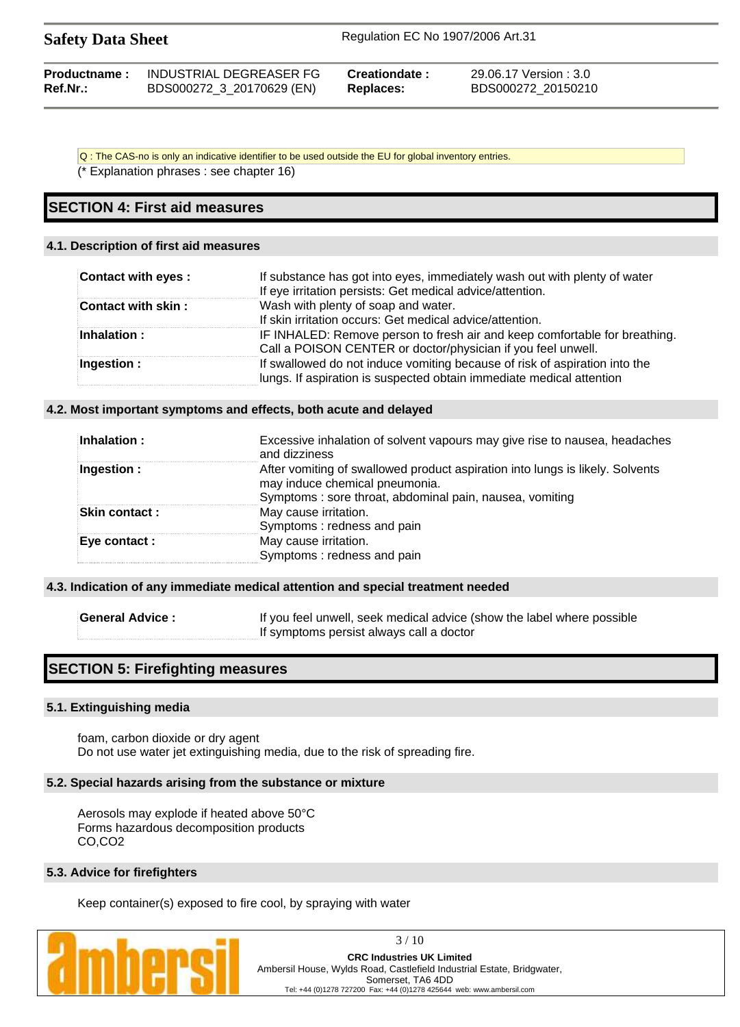| <b>Safety Data Sheet</b> |                           | Regulation EC No 1907/2006 Art.31 |                        |  |
|--------------------------|---------------------------|-----------------------------------|------------------------|--|
| <b>Productname:</b>      | INDUSTRIAL DEGREASER FG   | Creationdate :                    | 29.06.17 Version : 3.0 |  |
| Ref.Nr.:                 | BDS000272_3_20170629 (EN) | <b>Replaces:</b>                  | BDS000272 20150210     |  |

Q : The CAS-no is only an indicative identifier to be used outside the EU for global inventory entries.

(\* Explanation phrases : see chapter 16)

# **SECTION 4: First aid measures**

#### **4.1. Description of first aid measures**

| Contact with eyes : | If substance has got into eyes, immediately wash out with plenty of water<br>If eye irritation persists: Get medical advice/attention.             |
|---------------------|----------------------------------------------------------------------------------------------------------------------------------------------------|
| Contact with skin:  | Wash with plenty of soap and water.<br>If skin irritation occurs: Get medical advice/attention.                                                    |
| Inhalation:         | IF INHALED: Remove person to fresh air and keep comfortable for breathing.                                                                         |
|                     | Call a POISON CENTER or doctor/physician if you feel unwell.                                                                                       |
| Ingestion :         | If swallowed do not induce vomiting because of risk of aspiration into the<br>lungs. If aspiration is suspected obtain immediate medical attention |

#### **4.2. Most important symptoms and effects, both acute and delayed**

| Inhalation:           | Excessive inhalation of solvent vapours may give rise to nausea, headaches<br>and dizziness                                                                                |
|-----------------------|----------------------------------------------------------------------------------------------------------------------------------------------------------------------------|
| Ingestion $:$         | After vomiting of swallowed product aspiration into lungs is likely. Solvents<br>may induce chemical pneumonia.<br>Symptoms: sore throat, abdominal pain, nausea, vomiting |
| <b>Skin contact :</b> | May cause irritation.<br>Symptoms: redness and pain                                                                                                                        |
| Eye contact :         | May cause irritation.<br>Symptoms: redness and pain                                                                                                                        |

#### **4.3. Indication of any immediate medical attention and special treatment needed**

**General Advice :** If you feel unwell, seek medical advice (show the label where possible If symptoms persist always call a doctor

# **SECTION 5: Firefighting measures**

#### **5.1. Extinguishing media**

foam, carbon dioxide or dry agent Do not use water jet extinguishing media, due to the risk of spreading fire.

#### **5.2. Special hazards arising from the substance or mixture**

Aerosols may explode if heated above 50°C Forms hazardous decomposition products CO,CO2

#### **5.3. Advice for firefighters**

Keep container(s) exposed to fire cool, by spraying with water



3 / 10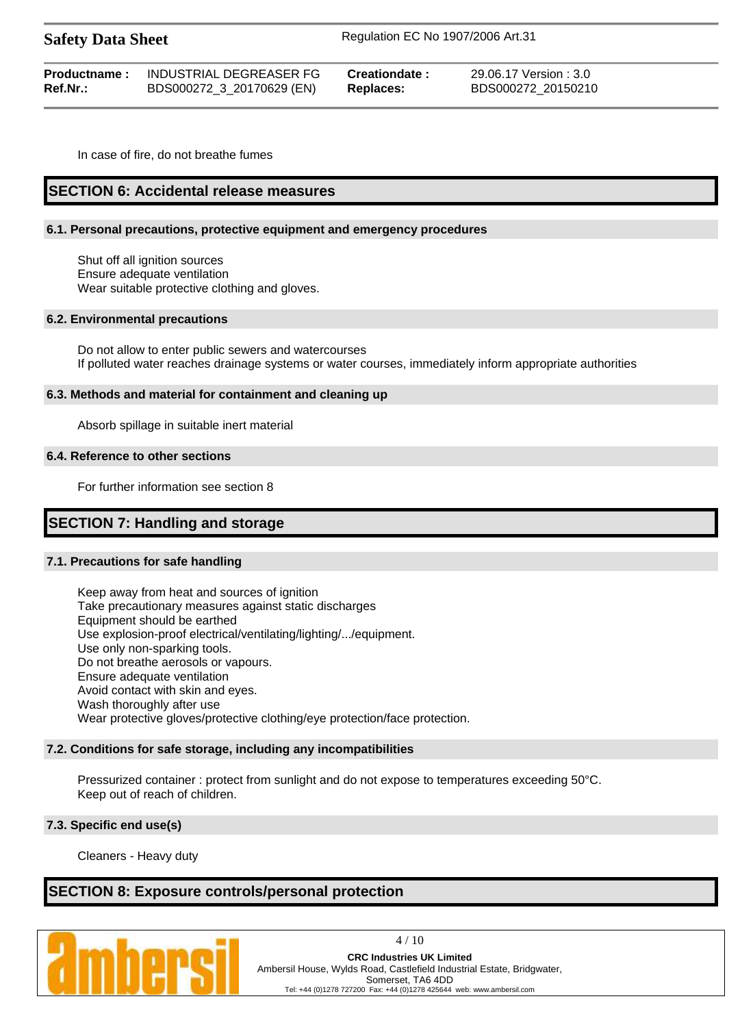| <b>Safety Data Sheet</b> |                         | Regulation EC No 1907/2006 Art.31 |                        |  |
|--------------------------|-------------------------|-----------------------------------|------------------------|--|
| <b>Productname:</b>      | INDUSTRIAL DEGREASER FG | <b>Creationdate :</b>             | 29.06.17 Version : 3.0 |  |

**Ref.Nr.:** BDS000272\_3\_20170629 (EN) **Replaces:** BDS000272\_20150210

In case of fire, do not breathe fumes

# **SECTION 6: Accidental release measures**

#### **6.1. Personal precautions, protective equipment and emergency procedures**

Shut off all ignition sources Ensure adequate ventilation Wear suitable protective clothing and gloves.

#### **6.2. Environmental precautions**

Do not allow to enter public sewers and watercourses If polluted water reaches drainage systems or water courses, immediately inform appropriate authorities

#### **6.3. Methods and material for containment and cleaning up**

Absorb spillage in suitable inert material

#### **6.4. Reference to other sections**

For further information see section 8

# **SECTION 7: Handling and storage**

#### **7.1. Precautions for safe handling**

Keep away from heat and sources of ignition Take precautionary measures against static discharges Equipment should be earthed Use explosion-proof electrical/ventilating/lighting/.../equipment. Use only non-sparking tools. Do not breathe aerosols or vapours. Ensure adequate ventilation Avoid contact with skin and eyes. Wash thoroughly after use Wear protective gloves/protective clothing/eye protection/face protection.

#### **7.2. Conditions for safe storage, including any incompatibilities**

Pressurized container : protect from sunlight and do not expose to temperatures exceeding 50°C. Keep out of reach of children.

#### **7.3. Specific end use(s)**

Cleaners - Heavy duty

# **SECTION 8: Exposure controls/personal protection**



4 / 10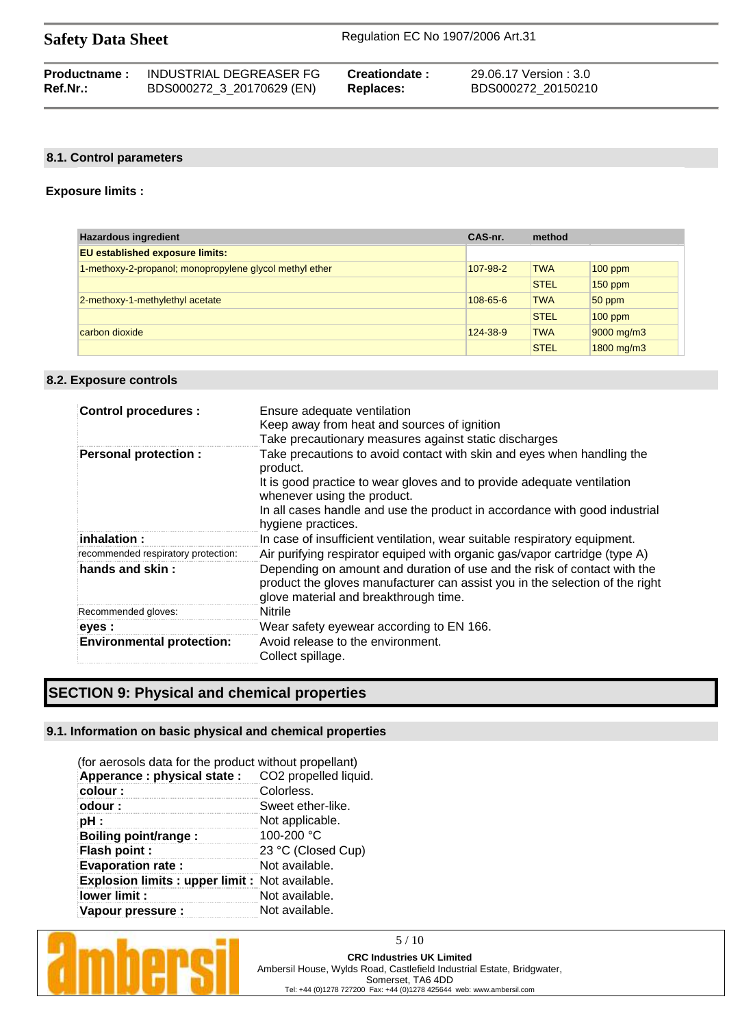| <b>Safety Data Sheet</b> |                         | Regulation EC No 1907/2006 Art.31 |                        |  |
|--------------------------|-------------------------|-----------------------------------|------------------------|--|
| <b>Productname:</b>      | INDUSTRIAL DEGREASER FG | Creationdate :                    | 29.06.17 Version : 3.0 |  |

| Ref.Nr.: | BDS000272_3_20170629 (EN) | <b>Replaces:</b> |
|----------|---------------------------|------------------|
|          |                           |                  |

# **Ref.Nr.:** BDS000272\_3\_20170629 (EN) **Replaces:** BDS000272\_20150210

### **8.1. Control parameters**

#### **Exposure limits :**

| <b>Hazardous ingredient</b>                             | CAS-nr.        | method      |            |
|---------------------------------------------------------|----------------|-------------|------------|
| <b>EU</b> established exposure limits:                  |                |             |            |
| 1-methoxy-2-propanol; monopropylene glycol methyl ether | 107-98-2       | <b>TWA</b>  | $100$ ppm  |
|                                                         |                | <b>STEL</b> | $150$ ppm  |
| 2-methoxy-1-methylethyl acetate                         | $108 - 65 - 6$ | <b>TWA</b>  | $50$ ppm   |
|                                                         |                | <b>STEL</b> | $100$ ppm  |
| carbon dioxide                                          | 124-38-9       | <b>TWA</b>  | 9000 mg/m3 |
|                                                         |                | <b>STEL</b> | 1800 mg/m3 |

#### **8.2. Exposure controls**

| <b>Control procedures:</b>          | Ensure adequate ventilation<br>Keep away from heat and sources of ignition<br>Take precautionary measures against static discharges                                                               |
|-------------------------------------|---------------------------------------------------------------------------------------------------------------------------------------------------------------------------------------------------|
| <b>Personal protection:</b>         | Take precautions to avoid contact with skin and eyes when handling the<br>product.<br>It is good practice to wear gloves and to provide adequate ventilation<br>whenever using the product.       |
|                                     | In all cases handle and use the product in accordance with good industrial<br>hygiene practices.                                                                                                  |
| inhalation :                        | In case of insufficient ventilation, wear suitable respiratory equipment.                                                                                                                         |
| recommended respiratory protection: | Air purifying respirator equiped with organic gas/vapor cartridge (type A)                                                                                                                        |
| hands and skin:                     | Depending on amount and duration of use and the risk of contact with the<br>product the gloves manufacturer can assist you in the selection of the right<br>glove material and breakthrough time. |
| Recommended gloves:                 | <b>Nitrile</b>                                                                                                                                                                                    |
| eyes :                              | Wear safety eyewear according to EN 166.                                                                                                                                                          |
| <b>Environmental protection:</b>    | Avoid release to the environment.<br>Collect spillage.                                                                                                                                            |

# **SECTION 9: Physical and chemical properties**

#### **9.1. Information on basic physical and chemical properties**

| (for aerosols data for the product without propellant) |                       |
|--------------------------------------------------------|-----------------------|
| Apperance : physical state :                           | CO2 propelled liquid. |
| colour:                                                | Colorless.            |
| odour :                                                | Sweet ether-like.     |
| pH :                                                   | Not applicable.       |
| Boiling point/range :                                  | 100-200 °C            |
| Flash point :                                          | 23 °C (Closed Cup)    |
| <b>Evaporation rate:</b>                               | Not available.        |
| Explosion limits : upper limit : Not available.        |                       |
| lower limit:                                           | Not available.        |
| Vapour pressure :                                      | Not available.        |

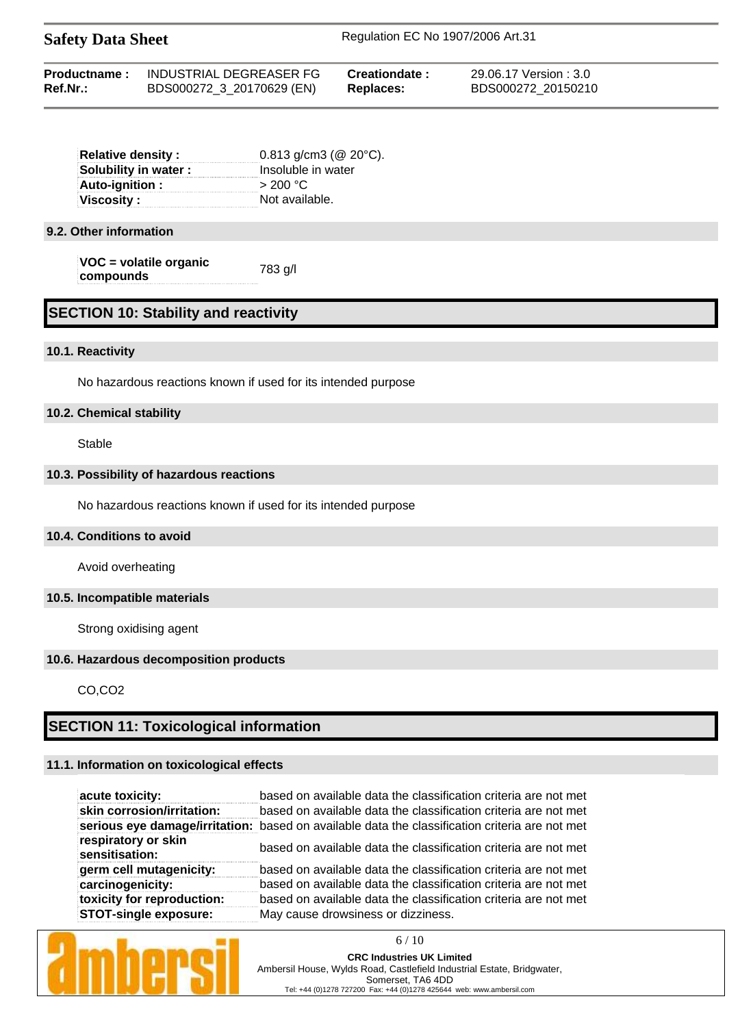| <b>Safety Data Sheet</b> |  | Regulation EC No 1907/2006 Art.31 |  |                                           |  |  |  |
|--------------------------|--|-----------------------------------|--|-------------------------------------------|--|--|--|
| $\sim$ $\sim$            |  |                                   |  | $\sim$ $\sim$ $\sim$ $\sim$ $\sim$ $\sim$ |  |  |  |

| Productname: | INDUSTRIAL DEGREASER FG   | Creationdate : | 29.06.17 Version : 3.0 |
|--------------|---------------------------|----------------|------------------------|
| Ref.Nr.:     | BDS000272_3_20170629 (EN) | Replaces:      | BDS000272 20150210     |

| <b>Relative density:</b>    | $0.813$ g/cm3 (@ 20 $^{\circ}$ C). |  |  |
|-----------------------------|------------------------------------|--|--|
| <b>Solubility in water:</b> | Insoluble in water                 |  |  |
| Auto-ignition :             | > 200 °C                           |  |  |
| Viscosity :                 | Not available.                     |  |  |
|                             |                                    |  |  |

#### **9.2. Other information**

**VOC = volatile organic compounds** 783 g/l

# **SECTION 10: Stability and reactivity**

#### **10.1. Reactivity**

No hazardous reactions known if used for its intended purpose

#### **10.2. Chemical stability**

Stable

#### **10.3. Possibility of hazardous reactions**

No hazardous reactions known if used for its intended purpose

#### **10.4. Conditions to avoid**

Avoid overheating

#### **10.5. Incompatible materials**

Strong oxidising agent

#### **10.6. Hazardous decomposition products**

CO,CO2

### **SECTION 11: Toxicological information**

### **11.1. Information on toxicological effects**

| acute toxicity:                       | based on available data the classification criteria are not met                                |
|---------------------------------------|------------------------------------------------------------------------------------------------|
| skin corrosion/irritation:            | based on available data the classification criteria are not met                                |
|                                       | serious eye damage/irritation: based on available data the classification criteria are not met |
| respiratory or skin<br>sensitisation: | based on available data the classification criteria are not met                                |
| germ cell mutagenicity:               | based on available data the classification criteria are not met                                |
| carcinogenicity:                      | based on available data the classification criteria are not met                                |
| toxicity for reproduction:            | based on available data the classification criteria are not met                                |
| <b>STOT-single exposure:</b>          | May cause drowsiness or dizziness.                                                             |

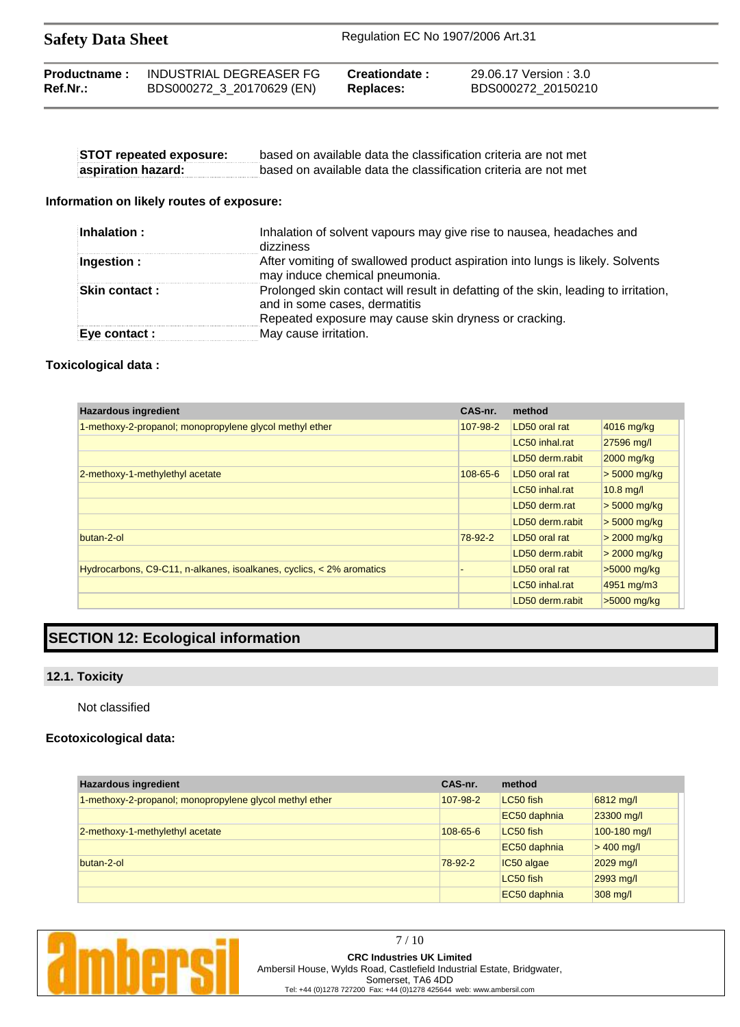| <b>Safety Data Sheet</b> | Regulation EC No 1907/2006 Art.31 |
|--------------------------|-----------------------------------|
|                          |                                   |

| Productname: | INDUSTRIAL DEGREASER FG   | Creationdate : | 29.06.17 Version : 3.0 |
|--------------|---------------------------|----------------|------------------------|
| $Ref.Nr.$ :  | BDS000272_3_20170629 (EN) | Replaces:      | BDS000272 20150210     |

| <b>STOT repeated exposure:</b> | based on available data the classification criteria are not met |
|--------------------------------|-----------------------------------------------------------------|
| aspiration hazard:             | based on available data the classification criteria are not met |

#### **Information on likely routes of exposure:**

| Inhalation :          | Inhalation of solvent vapours may give rise to nausea, headaches and<br>dizziness                                                                                             |
|-----------------------|-------------------------------------------------------------------------------------------------------------------------------------------------------------------------------|
| Ingestion :           | After vomiting of swallowed product aspiration into lungs is likely. Solvents<br>may induce chemical pneumonia.                                                               |
| <b>Skin contact :</b> | Prolonged skin contact will result in defatting of the skin, leading to irritation,<br>and in some cases, dermatitis<br>Repeated exposure may cause skin dryness or cracking. |
| Eye contact :         | May cause irritation.                                                                                                                                                         |

#### **Toxicological data :**

| <b>Hazardous ingredient</b>                                          | CAS-nr.        | method          |                |
|----------------------------------------------------------------------|----------------|-----------------|----------------|
| 1-methoxy-2-propanol; monopropylene glycol methyl ether              | 107-98-2       | LD50 oral rat   | 4016 mg/kg     |
|                                                                      |                | LC50 inhal.rat  | 27596 mg/l     |
|                                                                      |                | LD50 derm.rabit | 2000 mg/kg     |
| 2-methoxy-1-methylethyl acetate                                      | $108 - 65 - 6$ | LD50 oral rat   | $> 5000$ mg/kg |
|                                                                      |                | LC50 inhal.rat  | $10.8$ mg/l    |
|                                                                      |                | LD50 derm.rat   | $> 5000$ mg/kg |
|                                                                      |                | LD50 derm.rabit | $>$ 5000 mg/kg |
| butan-2-ol                                                           | 78-92-2        | LD50 oral rat   | $>$ 2000 mg/kg |
|                                                                      |                | LD50 derm.rabit | $> 2000$ mg/kg |
| Hydrocarbons, C9-C11, n-alkanes, isoalkanes, cyclics, < 2% aromatics |                | LD50 oral rat   | $>5000$ mg/kg  |
|                                                                      |                | LC50 inhal.rat  | 4951 mg/m3     |
|                                                                      |                | LD50 derm.rabit | $>5000$ mg/kg  |

# **SECTION 12: Ecological information**

# **12.1. Toxicity**

### Not classified

### **Ecotoxicological data:**

| <b>Hazardous ingredient</b>                             | CAS-nr.        | method       |              |
|---------------------------------------------------------|----------------|--------------|--------------|
| 1-methoxy-2-propanol; monopropylene glycol methyl ether | 107-98-2       | LC50 fish    | 6812 mg/l    |
|                                                         |                | EC50 daphnia | 23300 mg/l   |
| 2-methoxy-1-methylethyl acetate                         | $108 - 65 - 6$ | LC50 fish    | 100-180 mg/l |
|                                                         |                | EC50 daphnia | $> 400$ mg/l |
| butan-2-ol                                              | 78-92-2        | IC50 algae   | 2029 mg/l    |
|                                                         |                | LC50 fish    | 2993 mg/l    |
|                                                         |                | EC50 daphnia | 308 mg/l     |

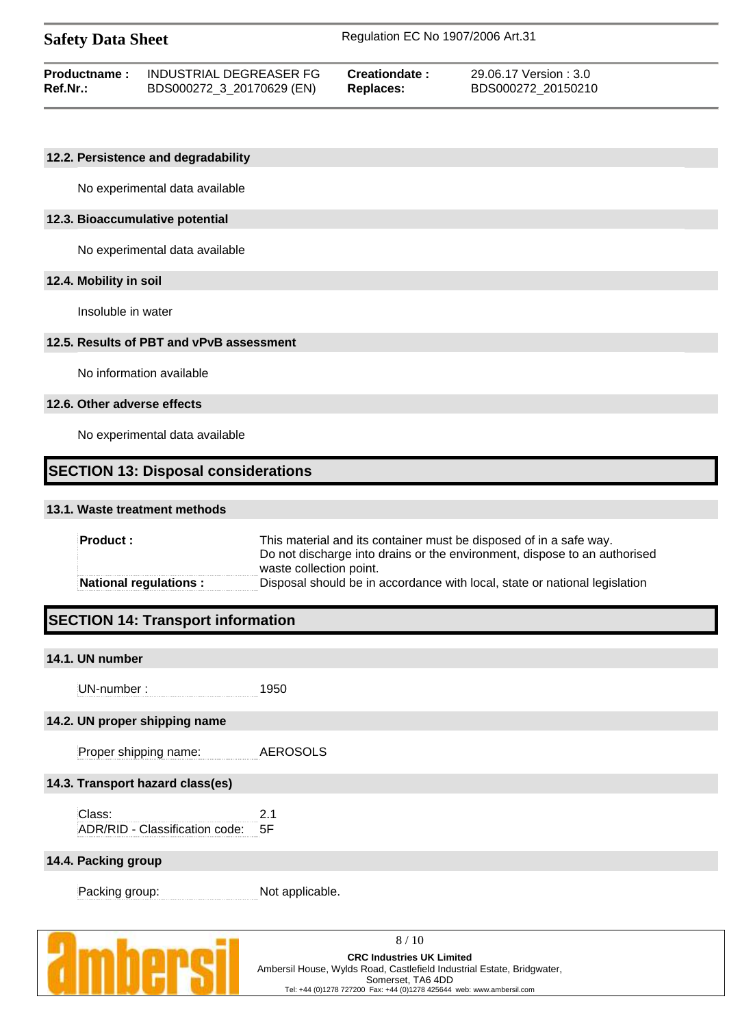| <b>Safety Data Sheet</b> |                         | Regulation EC No 1907/2006 Art.31 |                        |  |
|--------------------------|-------------------------|-----------------------------------|------------------------|--|
| <b>Productname:</b>      | INDUSTRIAL DEGREASER FG | Creationdate:                     | 29.06.17 Version : 3.0 |  |

**Ref.Nr.:** BDS000272\_3\_20170629 (EN) **Replaces:** BDS000272\_20150210

#### **12.2. Persistence and degradability**

No experimental data available

#### **12.3. Bioaccumulative potential**

No experimental data available

#### **12.4. Mobility in soil**

Insoluble in water

#### **12.5. Results of PBT and vPvB assessment**

No information available

#### **12.6. Other adverse effects**

No experimental data available

### **SECTION 13: Disposal considerations**

#### **13.1. Waste treatment methods**

| $\blacksquare$ Product : | This material and its container must be disposed of in a safe way.<br>Do not discharge into drains or the environment, dispose to an authorised<br>waste collection point. |  |  |
|--------------------------|----------------------------------------------------------------------------------------------------------------------------------------------------------------------------|--|--|
| National regulations:    | Disposal should be in accordance with local, state or national legislation                                                                                                 |  |  |

# **SECTION 14: Transport information**

#### **14.1. UN number**

UN-number : 1950

### **14.2. UN proper shipping name**

Proper shipping name: AEROSOLS

#### **14.3. Transport hazard class(es)**

Class: 2.1 ADR/RID - Classification code: 5F

#### **14.4. Packing group**

Packing group: Not applicable.

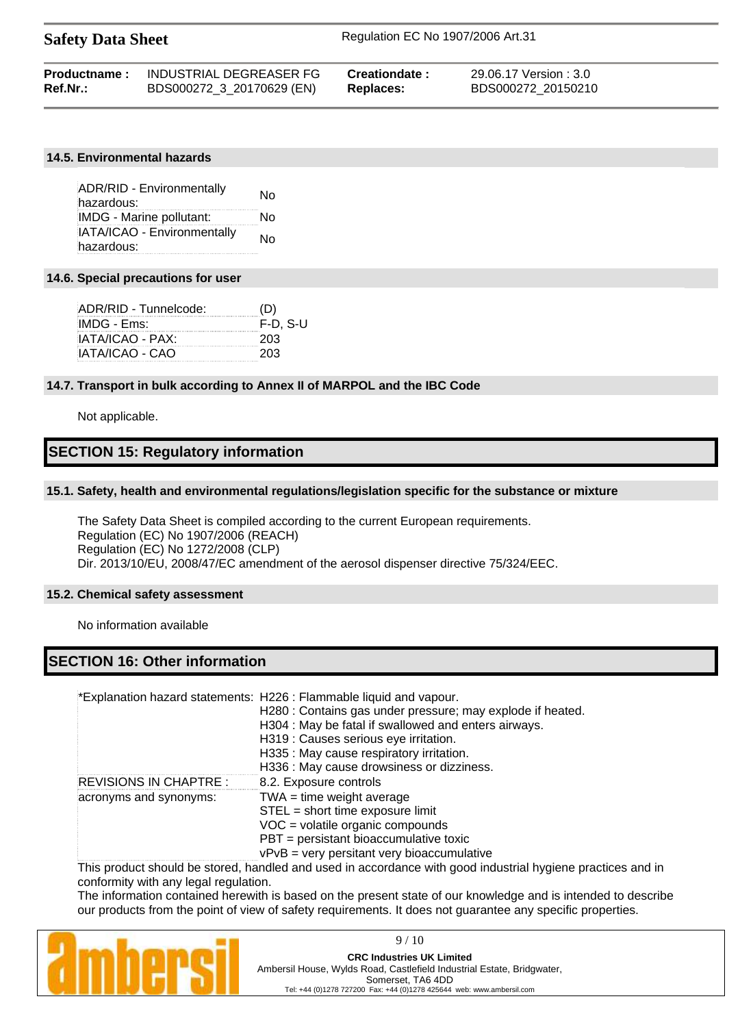| <b>Safety Data Sheet</b> |                           | Regulation EC No 1907/2006 Art.31 |                        |  |
|--------------------------|---------------------------|-----------------------------------|------------------------|--|
| Productname:             | INDUSTRIAL DEGREASER FG   | Creationdate:                     | 29.06.17 Version : 3.0 |  |
| Ref.Nr.:                 | BDS000272 3 20170629 (EN) | Replaces:                         | BDS000272 20150210     |  |

#### **14.5. Environmental hazards**

ADR/RID - Environmentally hazardous: No IMDG - Marine pollutant: No IATA/ICAO - Environmentally hazardous: hazardous:

#### **14.6. Special precautions for user**

| ADR/RID - Tunnelcode: | (D)      |
|-----------------------|----------|
| IMDG - Ems:           | F-D. S-U |
| IATA/ICAO - PAX:      | 203      |
| IATA/ICAO - CAO       | 203      |
|                       |          |

#### **14.7. Transport in bulk according to Annex II of MARPOL and the IBC Code**

Not applicable.

# **SECTION 15: Regulatory information**

#### **15.1. Safety, health and environmental regulations/legislation specific for the substance or mixture**

The Safety Data Sheet is compiled according to the current European requirements. Regulation (EC) No 1907/2006 (REACH) Regulation (EC) No 1272/2008 (CLP) Dir. 2013/10/EU, 2008/47/EC amendment of the aerosol dispenser directive 75/324/EEC.

#### **15.2. Chemical safety assessment**

No information available

# **SECTION 16: Other information**

\*Explanation hazard statements: H226 : Flammable liquid and vapour.

|                        | H280 : Contains gas under pressure; may explode if heated. |
|------------------------|------------------------------------------------------------|
|                        | H304 : May be fatal if swallowed and enters airways.       |
|                        | H319 : Causes serious eye irritation.                      |
|                        | H335 : May cause respiratory irritation.                   |
|                        | H336 : May cause drowsiness or dizziness.                  |
| REVISIONS IN CHAPTRE : | 8.2. Exposure controls                                     |
| acronyms and synonyms: | $TWA = time weight average$                                |
|                        | STEL = short time exposure limit                           |
|                        | VOC = volatile organic compounds                           |
|                        | PBT = persistant bioaccumulative toxic                     |
|                        | $vPvB = very$ persitant very bioaccumulative               |
|                        |                                                            |

This product should be stored, handled and used in accordance with good industrial hygiene practices and in conformity with any legal regulation.

The information contained herewith is based on the present state of our knowledge and is intended to describe our products from the point of view of safety requirements. It does not guarantee any specific properties.